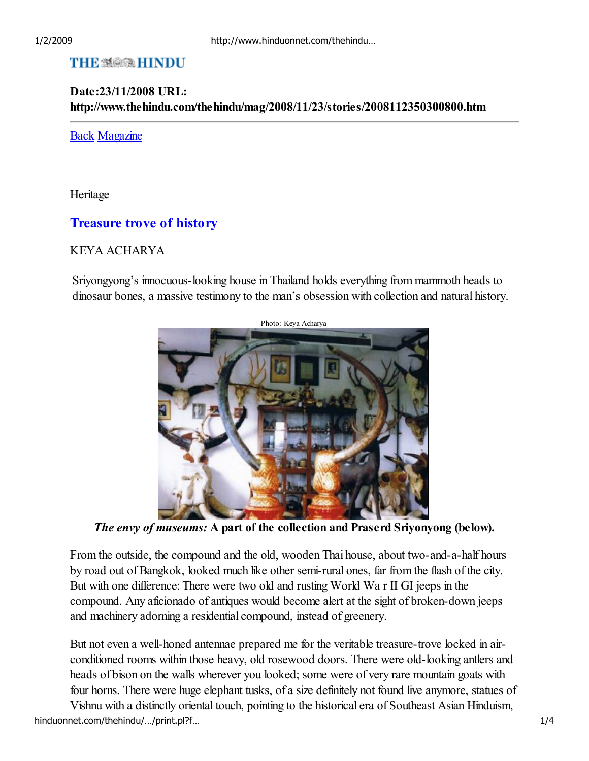# **THE SEE REINDU**

### Date:23/11/2008 URL: http://www.thehindu.com/thehindu/mag/2008/11/23/stories/2008112350300800.htm

#### Back Magazine

Heritage

## Treasure trove of history

### KEYA ACHARYA

Sriyongyong's innocuous-looking house in Thailand holds everything from mammoth heads to dinosaur bones, a massive testimony to the man's obsession with collection and natural history.



The envy of museums: A part of the collection and Praserd Sriyonyong (below).

From the outside, the compound and the old, wooden Thai house, about two-and-a-half hours by road out of Bangkok, looked much like other semi-rural ones, far from the flash of the city. But with one difference: There were two old and rusting World Wa r II GI jeeps in the compound. Any aficionado of antiques would become alert at the sight of broken-down jeeps and machinery adorning a residential compound, instead of greenery.

But not even a well-honed antennae prepared me for the veritable treasure-trove locked in airconditioned rooms within those heavy, old rosewood doors. There were old-looking antlers and heads of bison on the walls wherever you looked; some were of very rare mountain goats with four horns. There were huge elephant tusks, of a size definitely not found live anymore, statues of

Vishnu with a distinctly oriental touch, pointing to the historical era of Southeast Asian Hinduism, hinduonnet.com/thehindu/.../print.pl?f… 1/4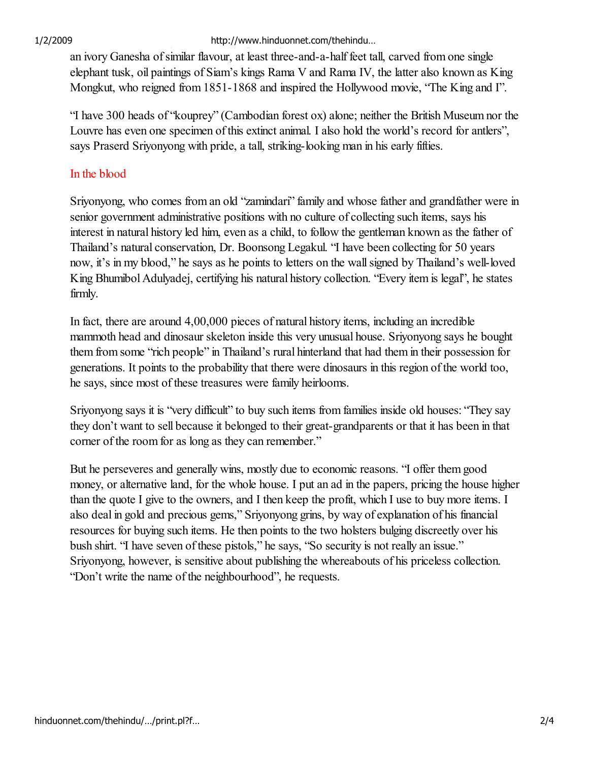1/2/2009 http://www.hinduonnet.com/thehindu…

an ivory Ganesha of similar flavour, at least three-and-a-half feet tall, carved from one single elephant tusk, oil paintings of Siam's kings Rama V and Rama IV, the latter also known as King Mongkut, who reigned from 1851-1868 and inspired the Hollywood movie, "The King and I".

"I have 300 heads of "kouprey" (Cambodian forest ox) alone; neither the British Museum nor the Louvre has even one specimen of this extinct animal. I also hold the world's record for antlers", says Praserd Sriyonyong with pride, a tall, striking-looking man in his early fifties.

## In the blood

Sriyonyong, who comes from an old "zamindari" family and whose father and grandfather were in senior government administrative positions with no culture of collecting such items, says his interest in natural history led him, even as a child, to follow the gentleman known as the father of Thailand's natural conservation, Dr. Boonsong Legakul. "I have been collecting for 50 years now, it's in my blood," he says as he points to letters on the wall signed by Thailand's well-loved King Bhumibol Adulyadej, certifying his natural history collection. "Every item is legal", he states firmly.

In fact, there are around 4,00,000 pieces of natural history items, including an incredible mammoth head and dinosaur skeleton inside this very unusual house. Sriyonyong says he bought them from some "rich people" in Thailand's rural hinterland that had them in their possession for generations. It points to the probability that there were dinosaurs in this region of the world too, he says, since most of these treasures were family heirlooms.

Sriyonyong says it is "very difficult" to buy such items from families inside old houses: "They say they don't want to sell because it belonged to their great-grandparents or that it has been in that corner of the room for as long as they can remember."

But he perseveres and generally wins, mostly due to economic reasons. "I offer them good money, or alternative land, for the whole house. I put an ad in the papers, pricing the house higher than the quote I give to the owners, and I then keep the profit, which I use to buy more items. I also deal in gold and precious gems," Sriyonyong grins, by way of explanation of his financial resources for buying such items. He then points to the two holsters bulging discreetly over his bush shirt. "I have seven of these pistols," he says, "So security is not really an issue." Sriyonyong, however, is sensitive about publishing the whereabouts of his priceless collection. "Don't write the name of the neighbourhood", he requests.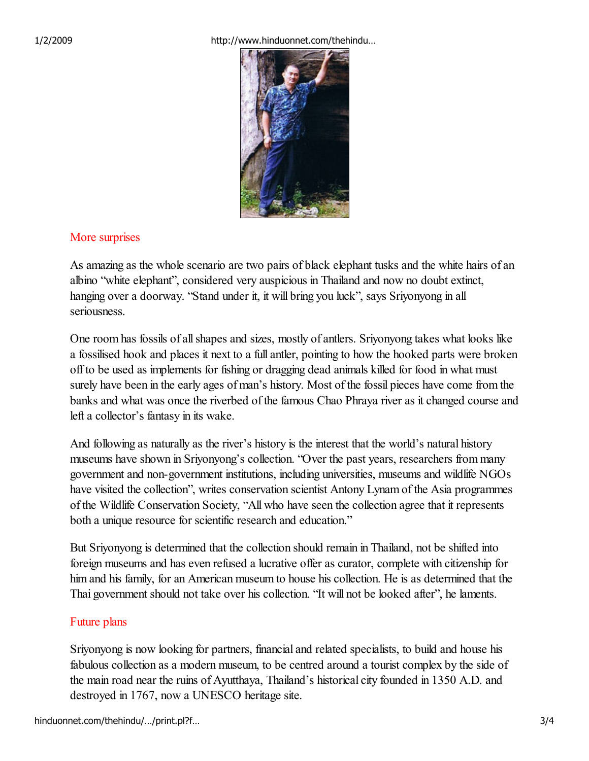1/2/2009 http://www.hinduonnet.com/thehindu…



## More surprises

As amazing as the whole scenario are two pairs of black elephant tusks and the white hairs of an albino "white elephant", considered very auspicious in Thailand and now no doubt extinct, hanging over a doorway. "Stand under it, it will bring you luck", says Sriyonyong in all seriousness.

One room has fossils of all shapes and sizes, mostly of antlers. Sriyonyong takes what looks like a fossilised hook and places it next to a full antler, pointing to how the hooked parts were broken off to be used as implements for fishing or dragging dead animals killed for food in what must surely have been in the early ages of man's history. Most of the fossil pieces have come from the banks and what was once the riverbed of the famous Chao Phraya river as it changed course and left a collector's fantasy in its wake.

And following as naturally as the river's history is the interest that the world's natural history museums have shown in Sriyonyong's collection. "Over the past years, researchers from many government and non-government institutions, including universities, museums and wildlife NGOs have visited the collection", writes conservation scientist Antony Lynam of the Asia programmes of the Wildlife Conservation Society, "All who have seen the collection agree that it represents both a unique resource for scientific research and education."

But Sriyonyong is determined that the collection should remain in Thailand, not be shifted into foreign museums and has even refused a lucrative offer as curator, complete with citizenship for him and his family, for an American museum to house his collection. He is as determined that the Thai government should not take over his collection. "It will not be looked after", he laments.

## Future plans

Sriyonyong is now looking for partners, financial and related specialists, to build and house his fabulous collection as a modern museum, to be centred around a tourist complex by the side of the main road near the ruins of Ayutthaya, Thailand's historical city founded in 1350 A.D. and destroyed in 1767, now a UNESCO heritage site.